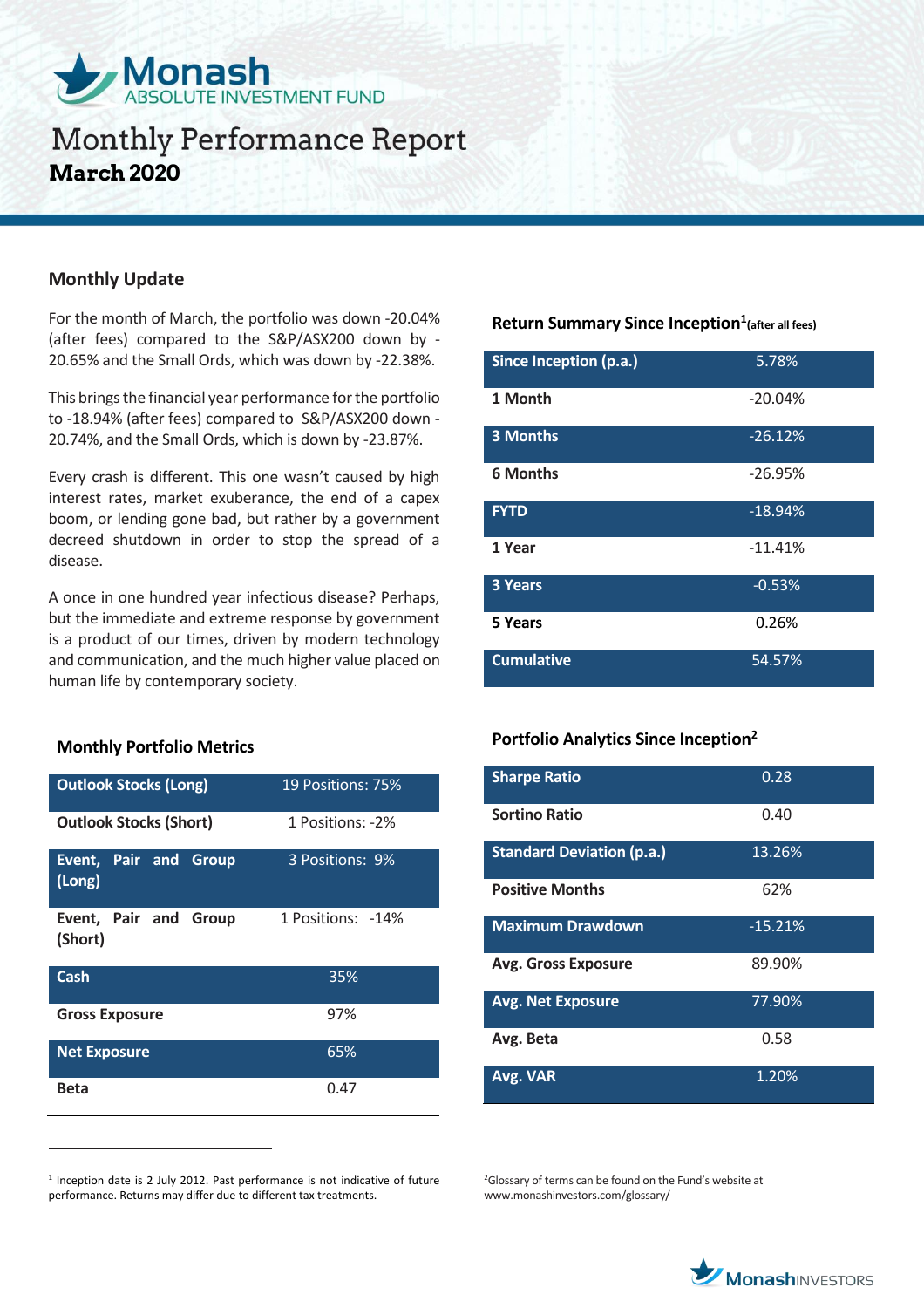

## **Monthly Performance Report March 2020**

### **Monthly Update**

For the month of March, the portfolio was down -20.04% (after fees) compared to the S&P/ASX200 down by - 20.65% and the Small Ords, which was down by -22.38%.

This brings the financial year performance for the portfolio to -18.94% (after fees) compared to S&P/ASX200 down - 20.74%, and the Small Ords, which is down by -23.87%.

Every crash is different. This one wasn't caused by high interest rates, market exuberance, the end of a capex boom, or lending gone bad, but rather by a government decreed shutdown in order to stop the spread of a disease.

A once in one hundred year infectious disease? Perhaps, but the immediate and extreme response by government is a product of our times, driven by modern technology and communication, and the much higher value placed on human life by contemporary society.

### **Monthly Portfolio Metrics**

 $\overline{a}$ 

| <b>Outlook Stocks (Long)</b>           | 19 Positions: 75% |
|----------------------------------------|-------------------|
| <b>Outlook Stocks (Short)</b>          | 1 Positions: -2%  |
| <b>Event, Pair and Group</b><br>(Long) | 3 Positions: 9%   |
| Event, Pair and Group<br>(Short)       | 1 Positions: -14% |
| Cash                                   | 35%               |
| <b>Gross Exposure</b>                  | 97%               |
| <b>Net Exposure</b>                    | 65%               |
| Beta                                   | 0.47              |

<sup>1</sup> Inception date is 2 July 2012. Past performance is not indicative of future performance. Returns may differ due to different tax treatments.

### **Return Summary Since Inception<sup>1</sup> (after all fees)**

| Since Inception (p.a.) | 5.78%     |
|------------------------|-----------|
| 1 Month                | $-20.04%$ |
| <b>3 Months</b>        | $-26.12%$ |
| <b>6 Months</b>        | $-26.95%$ |
| <b>FYTD</b>            | $-18.94%$ |
| 1 Year                 | $-11.41%$ |
| 3 Years                | $-0.53%$  |
| 5 Years                | 0.26%     |
| <b>Cumulative</b>      | 54.57%    |

### **Portfolio Analytics Since Inception<sup>2</sup>**

| <b>Sharpe Ratio</b>              | 0.28      |
|----------------------------------|-----------|
| <b>Sortino Ratio</b>             | 0.40      |
| <b>Standard Deviation (p.a.)</b> | 13.26%    |
| <b>Positive Months</b>           | 62%       |
| <b>Maximum Drawdown</b>          | $-15.21%$ |
| <b>Avg. Gross Exposure</b>       | 89.90%    |
| <b>Avg. Net Exposure</b>         | 77.90%    |
| Avg. Beta                        | 0.58      |
| Avg. VAR                         | 1.20%     |

<sup>2</sup>Glossary of terms can be found on the Fund's website at www.monashinvestors.com/glossary/

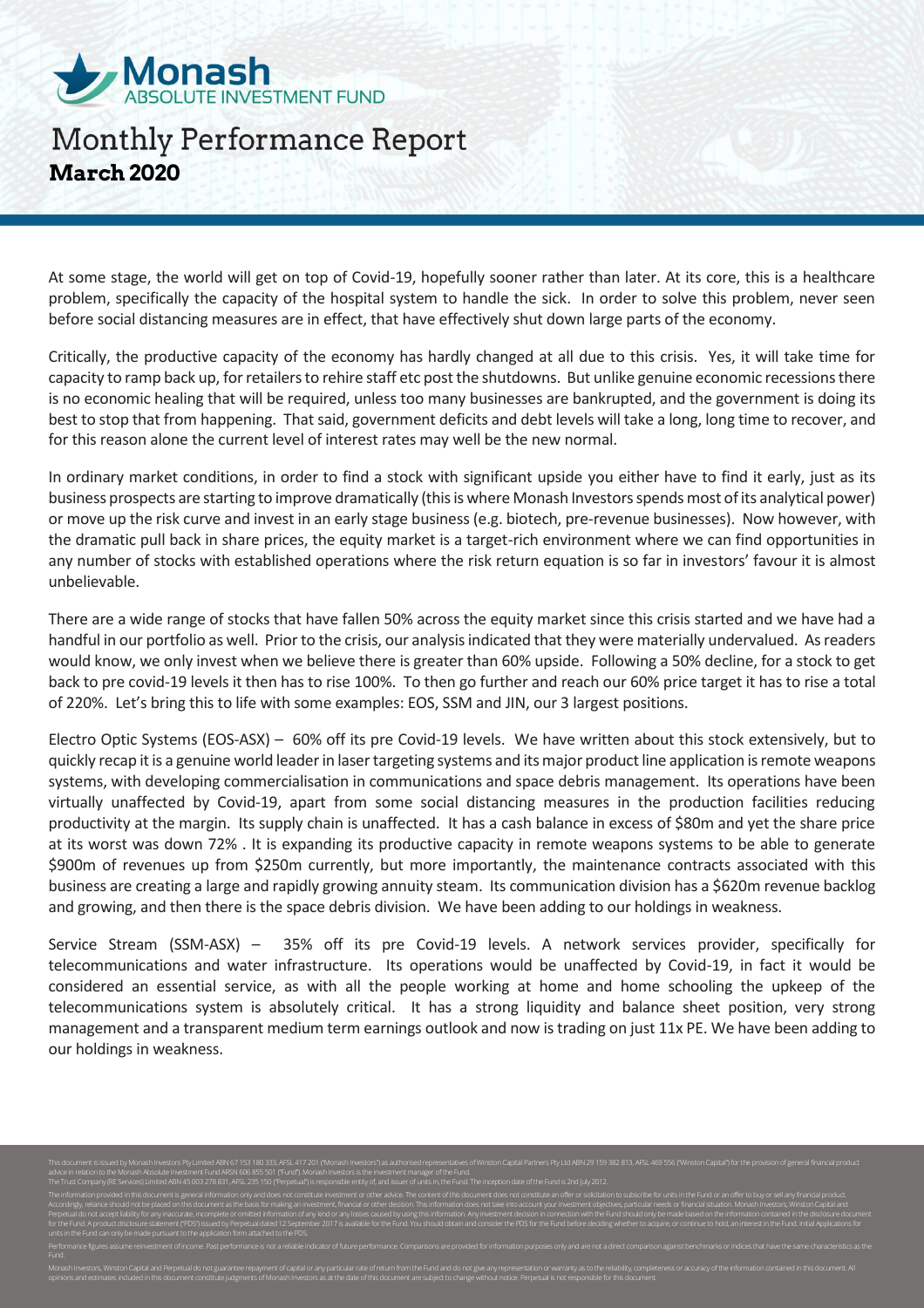

# **Monthly Performance Report March 2020**

At some stage, the world will get on top of Covid-19, hopefully sooner rather than later. At its core, this is a healthcare problem, specifically the capacity of the hospital system to handle the sick. In order to solve this problem, never seen before social distancing measures are in effect, that have effectively shut down large parts of the economy.

Critically, the productive capacity of the economy has hardly changed at all due to this crisis. Yes, it will take time for capacity to ramp back up, for retailers to rehire staff etc post the shutdowns. But unlike genuine economic recessions there is no economic healing that will be required, unless too many businesses are bankrupted, and the government is doing its best to stop that from happening. That said, government deficits and debt levels will take a long, long time to recover, and for this reason alone the current level of interest rates may well be the new normal.

In ordinary market conditions, in order to find a stock with significant upside you either have to find it early, just as its business prospects are starting to improve dramatically (this is where Monash Investors spends most of its analytical power) or move up the risk curve and invest in an early stage business (e.g. biotech, pre-revenue businesses). Now however, with the dramatic pull back in share prices, the equity market is a target-rich environment where we can find opportunities in any number of stocks with established operations where the risk return equation is so far in investors' favour it is almost unbelievable.

There are a wide range of stocks that have fallen 50% across the equity market since this crisis started and we have had a handful in our portfolio as well. Prior to the crisis, our analysis indicated that they were materially undervalued. As readers would know, we only invest when we believe there is greater than 60% upside. Following a 50% decline, for a stock to get back to pre covid-19 levels it then has to rise 100%. To then go further and reach our 60% price target it has to rise a total of 220%. Let's bring this to life with some examples: EOS, SSM and JIN, our 3 largest positions.

Electro Optic Systems (EOS-ASX) – 60% off its pre Covid-19 levels. We have written about this stock extensively, but to quickly recap it is a genuine world leader in laser targeting systems and its major product line application is remote weapons systems, with developing commercialisation in communications and space debris management. Its operations have been virtually unaffected by Covid-19, apart from some social distancing measures in the production facilities reducing productivity at the margin. Its supply chain is unaffected. It has a cash balance in excess of \$80m and yet the share price at its worst was down 72% . It is expanding its productive capacity in remote weapons systems to be able to generate \$900m of revenues up from \$250m currently, but more importantly, the maintenance contracts associated with this business are creating a large and rapidly growing annuity steam. Its communication division has a \$620m revenue backlog and growing, and then there is the space debris division. We have been adding to our holdings in weakness.

Service Stream (SSM-ASX) – 35% off its pre Covid-19 levels. A network services provider, specifically for telecommunications and water infrastructure. Its operations would be unaffected by Covid-19, in fact it would be considered an essential service, as with all the people working at home and home schooling the upkeep of the telecommunications system is absolutely critical. It has a strong liquidity and balance sheet position, very strong management and a transparent medium term earnings outlook and now is trading on just 11x PE. We have been adding to our holdings in weakness.

.<br>IN 29 159 382 813, AFSL 469 556 ("Winston Capital") fo advice in relation to the Monash Absolute Investment Fund ARSN 606 855 501 ("Fund"). Monash Investors is the investment manager of the Fund. The Trust Company (RE Services) Limited ABN 45 003 278 831, AFSL 235 150 ("Perpetual") is responsible entity of, and issuer of units in, the Fund. The inception date of the Fund is 2nd July 2012. The information provided in this document is general information only and does not constitute investment or other advice. The content of this document does not constitute an offer or solicitation to subscribe for units in Accordingly, reliance should not be placed on this document as the basis for making an investment, financial or other decision. This information does not take into account your investment objectives, particular needs or fi Perpetual do not accept liability for any inaccurate, incomplete or omitted information of any kind or any losses caused by using this information. Any investment decision in connection with the Fund should only be made ba for the Fund. A product disclosure statement ("PDS") issued by Perpetual dated 12 September 2017 is available for the Fund. You should obtain and consider the PDS for the Fund before deciding whether to acquire, or continu units in the Fund can only be made pursuant to the application form attached to the PDS. Performance figures assume reinvestment of income. Past performance is not a reliable indicator of future performance. Comparisons are provided for information purposes only and are not a direct comparison against benchmar